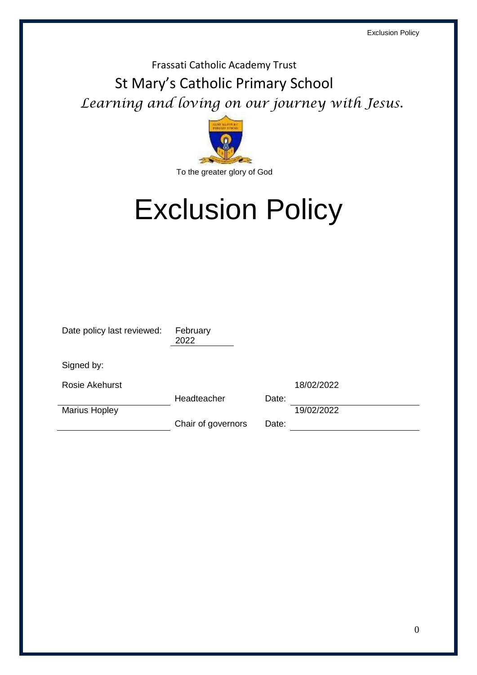## Frassati Catholic Academy Trust St Mary's Catholic Primary School *Learning and loving on our journey with Jesus.*



# Exclusion Policy

| Date policy last reviewed: | February<br>2022   |       |            |
|----------------------------|--------------------|-------|------------|
| Signed by:                 |                    |       |            |
| <b>Rosie Akehurst</b>      |                    |       | 18/02/2022 |
|                            | Headteacher        | Date: |            |
| <b>Marius Hopley</b>       |                    |       | 19/02/2022 |
|                            | Chair of governors | Date: |            |
|                            |                    |       |            |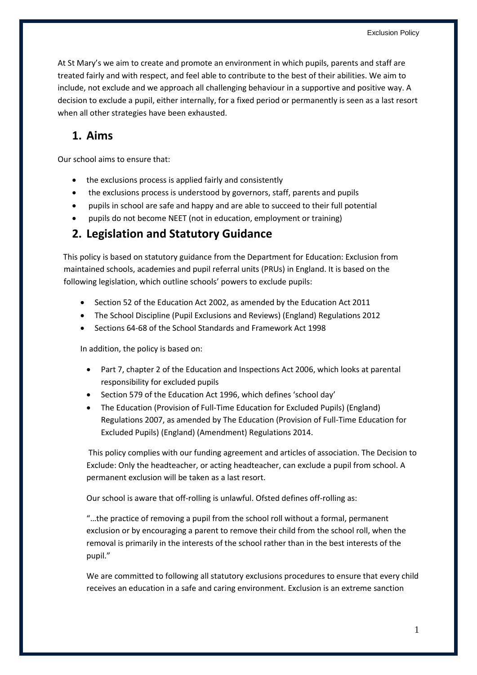At St Mary's we aim to create and promote an environment in which pupils, parents and staff are treated fairly and with respect, and feel able to contribute to the best of their abilities. We aim to include, not exclude and we approach all challenging behaviour in a supportive and positive way. A decision to exclude a pupil, either internally, for a fixed period or permanently is seen as a last resort when all other strategies have been exhausted.

## **1. Aims**

Our school aims to ensure that:

- the exclusions process is applied fairly and consistently
- the exclusions process is understood by governors, staff, parents and pupils
- pupils in school are safe and happy and are able to succeed to their full potential
- pupils do not become NEET (not in education, employment or training)

## **2. Legislation and Statutory Guidance**

This policy is based on statutory guidance from the Department for Education: Exclusion from maintained schools, academies and pupil referral units (PRUs) in England. It is based on the following legislation, which outline schools' powers to exclude pupils:

- Section 52 of the Education Act 2002, as amended by the Education Act 2011
- The School Discipline (Pupil Exclusions and Reviews) (England) Regulations 2012
- Sections 64-68 of the School Standards and Framework Act 1998

In addition, the policy is based on:

- Part 7, chapter 2 of the Education and Inspections Act 2006, which looks at parental responsibility for excluded pupils
- Section 579 of the Education Act 1996, which defines 'school day'
- The Education (Provision of Full-Time Education for Excluded Pupils) (England) Regulations 2007, as amended by The Education (Provision of Full-Time Education for Excluded Pupils) (England) (Amendment) Regulations 2014.

This policy complies with our funding agreement and articles of association. The Decision to Exclude: Only the headteacher, or acting headteacher, can exclude a pupil from school. A permanent exclusion will be taken as a last resort.

Our school is aware that off-rolling is unlawful. Ofsted defines off-rolling as:

"…the practice of removing a pupil from the school roll without a formal, permanent exclusion or by encouraging a parent to remove their child from the school roll, when the removal is primarily in the interests of the school rather than in the best interests of the pupil."

We are committed to following all statutory exclusions procedures to ensure that every child receives an education in a safe and caring environment. Exclusion is an extreme sanction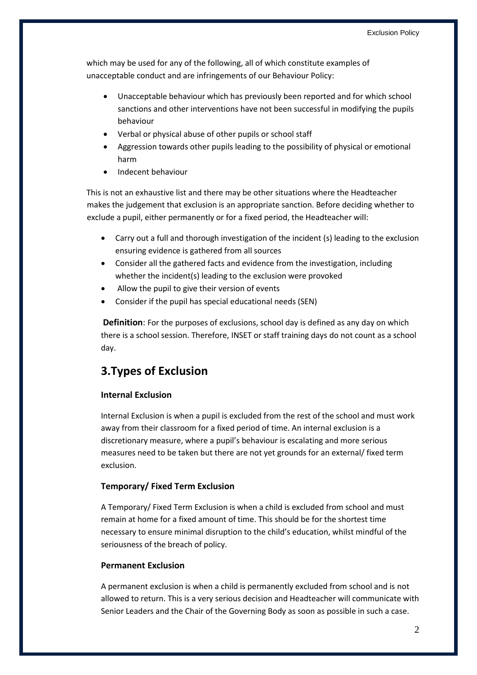which may be used for any of the following, all of which constitute examples of unacceptable conduct and are infringements of our Behaviour Policy:

- Unacceptable behaviour which has previously been reported and for which school sanctions and other interventions have not been successful in modifying the pupils behaviour
- Verbal or physical abuse of other pupils or school staff
- Aggression towards other pupils leading to the possibility of physical or emotional harm
- Indecent behaviour

This is not an exhaustive list and there may be other situations where the Headteacher makes the judgement that exclusion is an appropriate sanction. Before deciding whether to exclude a pupil, either permanently or for a fixed period, the Headteacher will:

- Carry out a full and thorough investigation of the incident (s) leading to the exclusion ensuring evidence is gathered from all sources
- Consider all the gathered facts and evidence from the investigation, including whether the incident(s) leading to the exclusion were provoked
- Allow the pupil to give their version of events
- Consider if the pupil has special educational needs (SEN)

**Definition**: For the purposes of exclusions, school day is defined as any day on which there is a school session. Therefore, INSET or staff training days do not count as a school day.

## **3.Types of Exclusion**

#### **Internal Exclusion**

Internal Exclusion is when a pupil is excluded from the rest of the school and must work away from their classroom for a fixed period of time. An internal exclusion is a discretionary measure, where a pupil's behaviour is escalating and more serious measures need to be taken but there are not yet grounds for an external/ fixed term exclusion.

#### **Temporary/ Fixed Term Exclusion**

A Temporary/ Fixed Term Exclusion is when a child is excluded from school and must remain at home for a fixed amount of time. This should be for the shortest time necessary to ensure minimal disruption to the child's education, whilst mindful of the seriousness of the breach of policy.

#### **Permanent Exclusion**

A permanent exclusion is when a child is permanently excluded from school and is not allowed to return. This is a very serious decision and Headteacher will communicate with Senior Leaders and the Chair of the Governing Body as soon as possible in such a case.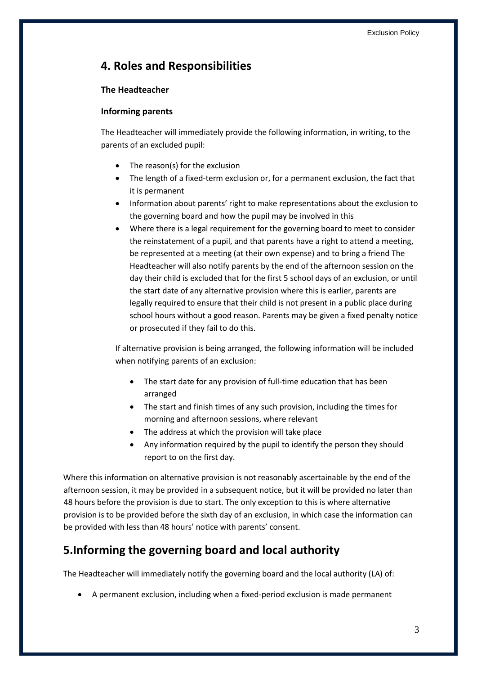## **4. Roles and Responsibilities**

#### **The Headteacher**

#### **Informing parents**

The Headteacher will immediately provide the following information, in writing, to the parents of an excluded pupil:

- The reason(s) for the exclusion
- The length of a fixed-term exclusion or, for a permanent exclusion, the fact that it is permanent
- Information about parents' right to make representations about the exclusion to the governing board and how the pupil may be involved in this
- Where there is a legal requirement for the governing board to meet to consider the reinstatement of a pupil, and that parents have a right to attend a meeting, be represented at a meeting (at their own expense) and to bring a friend The Headteacher will also notify parents by the end of the afternoon session on the day their child is excluded that for the first 5 school days of an exclusion, or until the start date of any alternative provision where this is earlier, parents are legally required to ensure that their child is not present in a public place during school hours without a good reason. Parents may be given a fixed penalty notice or prosecuted if they fail to do this.

If alternative provision is being arranged, the following information will be included when notifying parents of an exclusion:

- The start date for any provision of full-time education that has been arranged
- The start and finish times of any such provision, including the times for morning and afternoon sessions, where relevant
- The address at which the provision will take place
- Any information required by the pupil to identify the person they should report to on the first day.

Where this information on alternative provision is not reasonably ascertainable by the end of the afternoon session, it may be provided in a subsequent notice, but it will be provided no later than 48 hours before the provision is due to start. The only exception to this is where alternative provision is to be provided before the sixth day of an exclusion, in which case the information can be provided with less than 48 hours' notice with parents' consent.

## **5.Informing the governing board and local authority**

The Headteacher will immediately notify the governing board and the local authority (LA) of:

A permanent exclusion, including when a fixed-period exclusion is made permanent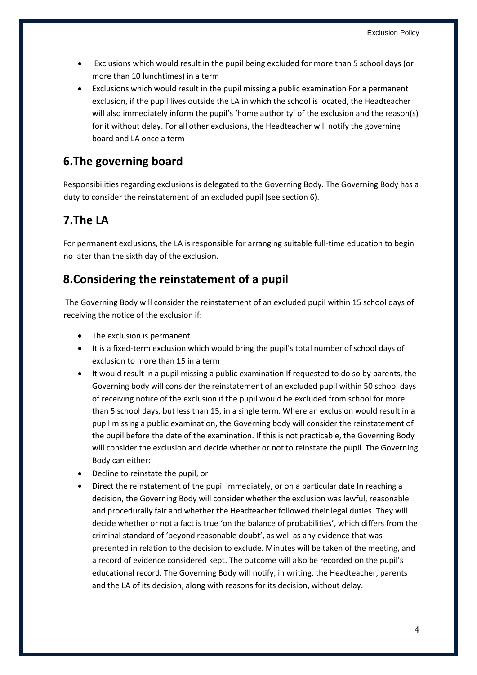- Exclusions which would result in the pupil being excluded for more than 5 school days (or more than 10 lunchtimes) in a term
- Exclusions which would result in the pupil missing a public examination For a permanent exclusion, if the pupil lives outside the LA in which the school is located, the Headteacher will also immediately inform the pupil's 'home authority' of the exclusion and the reason(s) for it without delay. For all other exclusions, the Headteacher will notify the governing board and LA once a term

## **6.The governing board**

Responsibilities regarding exclusions is delegated to the Governing Body. The Governing Body has a duty to consider the reinstatement of an excluded pupil (see section 6).

## **7.The LA**

For permanent exclusions, the LA is responsible for arranging suitable full-time education to begin no later than the sixth day of the exclusion.

## **8.Considering the reinstatement of a pupil**

The Governing Body will consider the reinstatement of an excluded pupil within 15 school days of receiving the notice of the exclusion if:

- The exclusion is permanent
- It is a fixed-term exclusion which would bring the pupil's total number of school days of exclusion to more than 15 in a term
- It would result in a pupil missing a public examination If requested to do so by parents, the Governing body will consider the reinstatement of an excluded pupil within 50 school days of receiving notice of the exclusion if the pupil would be excluded from school for more than 5 school days, but less than 15, in a single term. Where an exclusion would result in a pupil missing a public examination, the Governing body will consider the reinstatement of the pupil before the date of the examination. If this is not practicable, the Governing Body will consider the exclusion and decide whether or not to reinstate the pupil. The Governing Body can either:
- Decline to reinstate the pupil, or
- Direct the reinstatement of the pupil immediately, or on a particular date In reaching a decision, the Governing Body will consider whether the exclusion was lawful, reasonable and procedurally fair and whether the Headteacher followed their legal duties. They will decide whether or not a fact is true 'on the balance of probabilities', which differs from the criminal standard of 'beyond reasonable doubt', as well as any evidence that was presented in relation to the decision to exclude. Minutes will be taken of the meeting, and a record of evidence considered kept. The outcome will also be recorded on the pupil's educational record. The Governing Body will notify, in writing, the Headteacher, parents and the LA of its decision, along with reasons for its decision, without delay.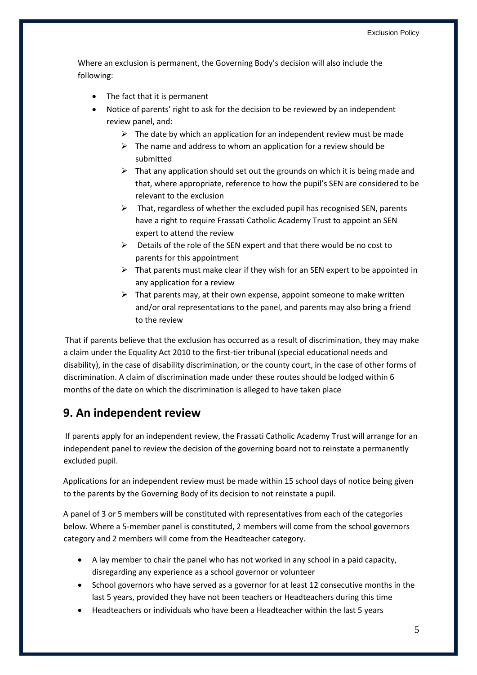Where an exclusion is permanent, the Governing Body's decision will also include the following:

- The fact that it is permanent
- Notice of parents' right to ask for the decision to be reviewed by an independent review panel, and:
	- $\triangleright$  The date by which an application for an independent review must be made
	- $\triangleright$  The name and address to whom an application for a review should be submitted
	- $\triangleright$  That any application should set out the grounds on which it is being made and that, where appropriate, reference to how the pupil's SEN are considered to be relevant to the exclusion
	- $\triangleright$  That, regardless of whether the excluded pupil has recognised SEN, parents have a right to require Frassati Catholic Academy Trust to appoint an SEN expert to attend the review
	- $\triangleright$  Details of the role of the SEN expert and that there would be no cost to parents for this appointment
	- $\triangleright$  That parents must make clear if they wish for an SEN expert to be appointed in any application for a review
	- $\triangleright$  That parents may, at their own expense, appoint someone to make written and/or oral representations to the panel, and parents may also bring a friend to the review

That if parents believe that the exclusion has occurred as a result of discrimination, they may make a claim under the Equality Act 2010 to the first-tier tribunal (special educational needs and disability), in the case of disability discrimination, or the county court, in the case of other forms of discrimination. A claim of discrimination made under these routes should be lodged within 6 months of the date on which the discrimination is alleged to have taken place

## **9. An independent review**

If parents apply for an independent review, the Frassati Catholic Academy Trust will arrange for an independent panel to review the decision of the governing board not to reinstate a permanently excluded pupil.

Applications for an independent review must be made within 15 school days of notice being given to the parents by the Governing Body of its decision to not reinstate a pupil.

A panel of 3 or 5 members will be constituted with representatives from each of the categories below. Where a 5-member panel is constituted, 2 members will come from the school governors category and 2 members will come from the Headteacher category.

- A lay member to chair the panel who has not worked in any school in a paid capacity, disregarding any experience as a school governor or volunteer
- School governors who have served as a governor for at least 12 consecutive months in the last 5 years, provided they have not been teachers or Headteachers during this time
- Headteachers or individuals who have been a Headteacher within the last 5 years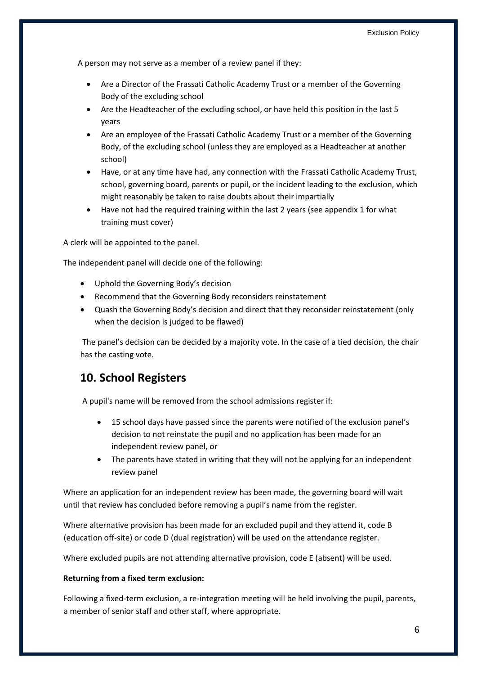A person may not serve as a member of a review panel if they:

- Are a Director of the Frassati Catholic Academy Trust or a member of the Governing Body of the excluding school
- Are the Headteacher of the excluding school, or have held this position in the last 5 years
- Are an employee of the Frassati Catholic Academy Trust or a member of the Governing Body, of the excluding school (unless they are employed as a Headteacher at another school)
- Have, or at any time have had, any connection with the Frassati Catholic Academy Trust, school, governing board, parents or pupil, or the incident leading to the exclusion, which might reasonably be taken to raise doubts about their impartially
- Have not had the required training within the last 2 years (see appendix 1 for what training must cover)

A clerk will be appointed to the panel.

The independent panel will decide one of the following:

- Uphold the Governing Body's decision
- Recommend that the Governing Body reconsiders reinstatement
- Quash the Governing Body's decision and direct that they reconsider reinstatement (only when the decision is judged to be flawed)

The panel's decision can be decided by a majority vote. In the case of a tied decision, the chair has the casting vote.

## **10. School Registers**

A pupil's name will be removed from the school admissions register if:

- 15 school days have passed since the parents were notified of the exclusion panel's decision to not reinstate the pupil and no application has been made for an independent review panel, or
- The parents have stated in writing that they will not be applying for an independent review panel

Where an application for an independent review has been made, the governing board will wait until that review has concluded before removing a pupil's name from the register.

Where alternative provision has been made for an excluded pupil and they attend it, code B (education off-site) or code D (dual registration) will be used on the attendance register.

Where excluded pupils are not attending alternative provision, code E (absent) will be used.

#### **Returning from a fixed term exclusion:**

Following a fixed-term exclusion, a re-integration meeting will be held involving the pupil, parents, a member of senior staff and other staff, where appropriate.